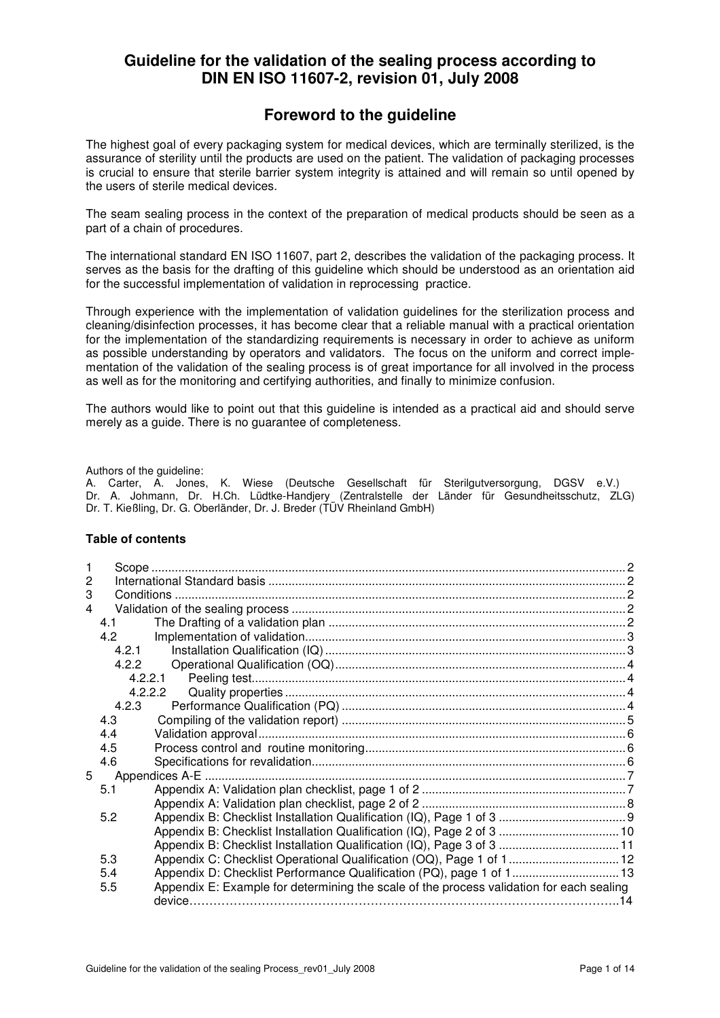# **Guideline for the validation of the sealing process according to DIN EN ISO 11607-2, revision 01, July 2008**

# **Foreword to the guideline**

The highest goal of every packaging system for medical devices, which are terminally sterilized, is the assurance of sterility until the products are used on the patient. The validation of packaging processes is crucial to ensure that sterile barrier system integrity is attained and will remain so until opened by the users of sterile medical devices.

The seam sealing process in the context of the preparation of medical products should be seen as a part of a chain of procedures.

The international standard EN ISO 11607, part 2, describes the validation of the packaging process. It serves as the basis for the drafting of this guideline which should be understood as an orientation aid for the successful implementation of validation in reprocessing practice.

Through experience with the implementation of validation guidelines for the sterilization process and cleaning/disinfection processes, it has become clear that a reliable manual with a practical orientation for the implementation of the standardizing requirements is necessary in order to achieve as uniform as possible understanding by operators and validators. The focus on the uniform and correct implementation of the validation of the sealing process is of great importance for all involved in the process as well as for the monitoring and certifying authorities, and finally to minimize confusion.

The authors would like to point out that this guideline is intended as a practical aid and should serve merely as a guide. There is no guarantee of completeness.

Authors of the guideline:

A. Carter, A. Jones, K. Wiese (Deutsche Gesellschaft für Sterilgutversorgung, DGSV e.V.) Dr. A. Johmann, Dr. H.Ch. Lüdtke-Handjery (Zentralstelle der Länder für Gesundheitsschutz, ZLG) Dr. T. Kießling, Dr. G. Oberländer, Dr. J. Breder (TÜV Rheinland GmbH)

#### **Table of contents**

| 2 |       |                                                                                          |  |  |
|---|-------|------------------------------------------------------------------------------------------|--|--|
| 3 |       |                                                                                          |  |  |
| 4 |       |                                                                                          |  |  |
|   | 4.1   |                                                                                          |  |  |
|   | 4.2   |                                                                                          |  |  |
|   | 4.2.1 |                                                                                          |  |  |
|   | 4.2.2 |                                                                                          |  |  |
|   |       | 4.2.2.1                                                                                  |  |  |
|   |       | 4.2.2.2                                                                                  |  |  |
|   | 4.2.3 |                                                                                          |  |  |
|   | 4.3   |                                                                                          |  |  |
|   | 4.4   |                                                                                          |  |  |
|   | 4.5   |                                                                                          |  |  |
|   | 4.6   |                                                                                          |  |  |
| 5 |       |                                                                                          |  |  |
|   | 5.1   |                                                                                          |  |  |
|   |       |                                                                                          |  |  |
|   | 5.2   |                                                                                          |  |  |
|   |       | Appendix B: Checklist Installation Qualification (IQ), Page 2 of 3  10                   |  |  |
|   |       |                                                                                          |  |  |
|   | 5.3   |                                                                                          |  |  |
|   | 5.4   | Appendix D: Checklist Performance Qualification (PQ), page 1 of 1 13                     |  |  |
|   | 5.5   | Appendix E: Example for determining the scale of the process validation for each sealing |  |  |
|   |       |                                                                                          |  |  |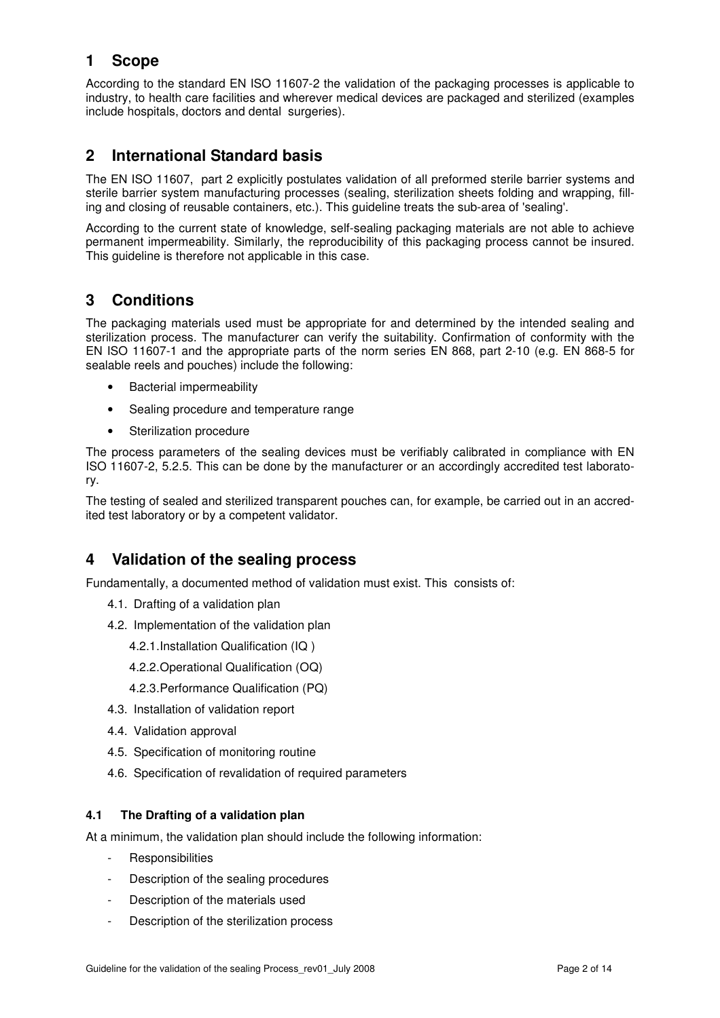# **1 Scope**

According to the standard EN ISO 11607-2 the validation of the packaging processes is applicable to industry, to health care facilities and wherever medical devices are packaged and sterilized (examples include hospitals, doctors and dental surgeries).

# **2 International Standard basis**

The EN ISO 11607, part 2 explicitly postulates validation of all preformed sterile barrier systems and sterile barrier system manufacturing processes (sealing, sterilization sheets folding and wrapping, filling and closing of reusable containers, etc.). This guideline treats the sub-area of 'sealing'.

According to the current state of knowledge, self-sealing packaging materials are not able to achieve permanent impermeability. Similarly, the reproducibility of this packaging process cannot be insured. This guideline is therefore not applicable in this case.

# **3 Conditions**

The packaging materials used must be appropriate for and determined by the intended sealing and sterilization process. The manufacturer can verify the suitability. Confirmation of conformity with the EN ISO 11607-1 and the appropriate parts of the norm series EN 868, part 2-10 (e.g. EN 868-5 for sealable reels and pouches) include the following:

- Bacterial impermeability
- Sealing procedure and temperature range
- Sterilization procedure

The process parameters of the sealing devices must be verifiably calibrated in compliance with EN ISO 11607-2, 5.2.5. This can be done by the manufacturer or an accordingly accredited test laboratory.

The testing of sealed and sterilized transparent pouches can, for example, be carried out in an accredited test laboratory or by a competent validator.

# **4 Validation of the sealing process**

Fundamentally, a documented method of validation must exist. This consists of:

- 4.1. Drafting of a validation plan
- 4.2. Implementation of the validation plan
	- 4.2.1. Installation Qualification (IQ )
	- 4.2.2. Operational Qualification (OQ)
	- 4.2.3. Performance Qualification (PQ)
- 4.3. Installation of validation report
- 4.4. Validation approval
- 4.5. Specification of monitoring routine
- 4.6. Specification of revalidation of required parameters

#### **4.1 The Drafting of a validation plan**

At a minimum, the validation plan should include the following information:

- **Responsibilities**
- Description of the sealing procedures
- Description of the materials used
- Description of the sterilization process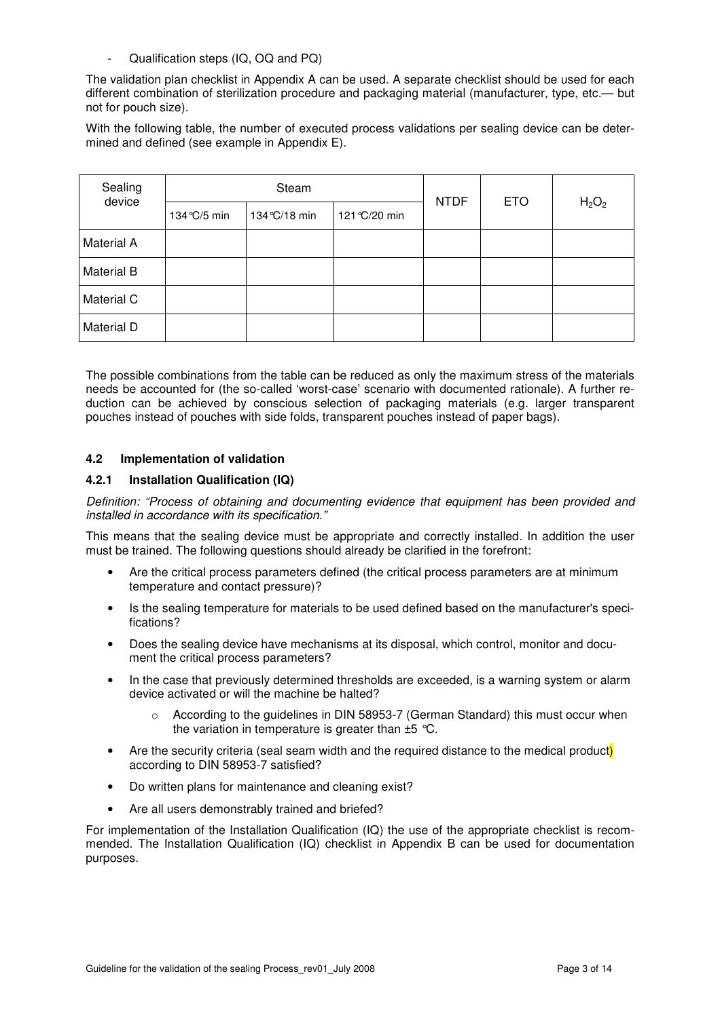Qualification steps (IQ, OQ and PQ)

The validation plan checklist in Appendix A can be used. A separate checklist should be used for each different combination of sterilization procedure and packaging material (manufacturer, type, etc.— but not for pouch size).

With the following table, the number of executed process validations per sealing device can be determined and defined (see example in Appendix E).

| Sealing<br>device |              | Steam         | <b>NTDF</b>   | <b>ETO</b> | H <sub>2</sub> O <sub>2</sub> |  |
|-------------------|--------------|---------------|---------------|------------|-------------------------------|--|
|                   | 134 °C/5 min | 134 °C/18 min | 121 °C/20 min |            |                               |  |
| Material A        |              |               |               |            |                               |  |
| <b>Material B</b> |              |               |               |            |                               |  |
| Material C        |              |               |               |            |                               |  |
| Material D        |              |               |               |            |                               |  |

The possible combinations from the table can be reduced as only the maximum stress of the materials needs be accounted for (the so-called 'worst-case' scenario with documented rationale). A further reduction can be achieved by conscious selection of packaging materials (e.g. larger transparent pouches instead of pouches with side folds, transparent pouches instead of paper bags).

#### **4.2 Implementation of validation**

#### **4.2.1 Installation Qualification (IQ)**

Definition: "Process of obtaining and documenting evidence that equipment has been provided and installed in accordance with its specification."

This means that the sealing device must be appropriate and correctly installed. In addition the user must be trained. The following questions should already be clarified in the forefront:

- Are the critical process parameters defined (the critical process parameters are at minimum temperature and contact pressure)?
- Is the sealing temperature for materials to be used defined based on the manufacturer's specifications?
- Does the sealing device have mechanisms at its disposal, which control, monitor and document the critical process parameters?
- In the case that previously determined thresholds are exceeded, is a warning system or alarm device activated or will the machine be halted?
	- $\circ$  According to the guidelines in DIN 58953-7 (German Standard) this must occur when the variation in temperature is greater than  $\pm 5$  °C.
- Are the security criteria (seal seam width and the required distance to the medical product) according to DIN 58953-7 satisfied?
- Do written plans for maintenance and cleaning exist?
- Are all users demonstrably trained and briefed?

For implementation of the Installation Qualification (IQ) the use of the appropriate checklist is recommended. The Installation Qualification (IQ) checklist in Appendix B can be used for documentation purposes.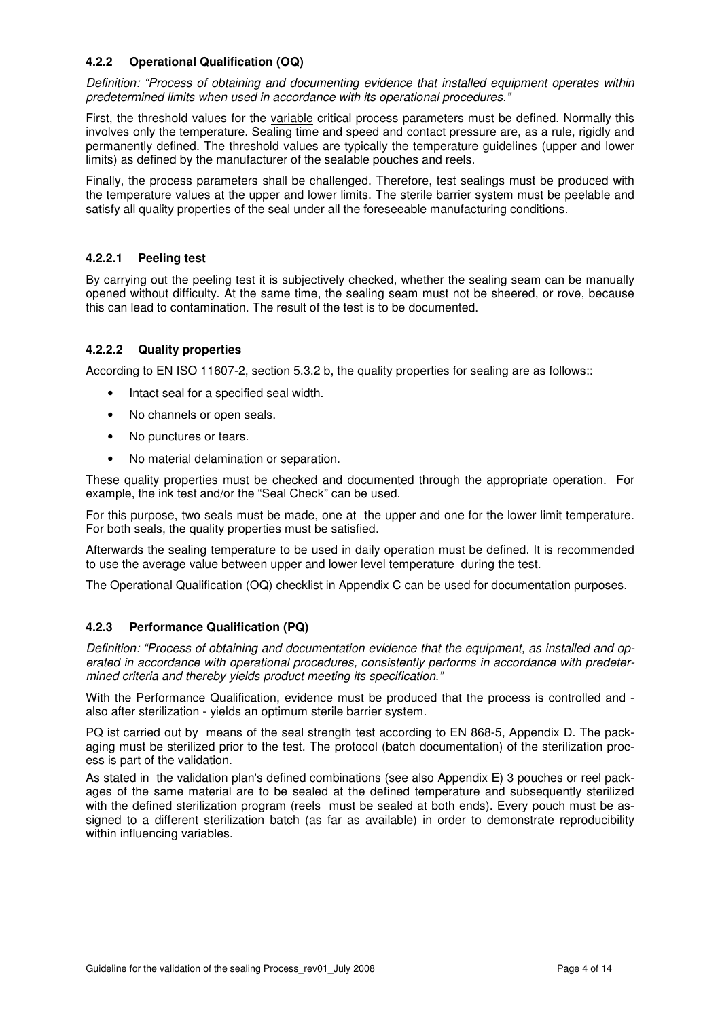### **4.2.2 Operational Qualification (OQ)**

Definition: "Process of obtaining and documenting evidence that installed equipment operates within predetermined limits when used in accordance with its operational procedures."

First, the threshold values for the variable critical process parameters must be defined. Normally this involves only the temperature. Sealing time and speed and contact pressure are, as a rule, rigidly and permanently defined. The threshold values are typically the temperature guidelines (upper and lower limits) as defined by the manufacturer of the sealable pouches and reels.

Finally, the process parameters shall be challenged. Therefore, test sealings must be produced with the temperature values at the upper and lower limits. The sterile barrier system must be peelable and satisfy all quality properties of the seal under all the foreseeable manufacturing conditions.

### **4.2.2.1 Peeling test**

By carrying out the peeling test it is subjectively checked, whether the sealing seam can be manually opened without difficulty. At the same time, the sealing seam must not be sheered, or rove, because this can lead to contamination. The result of the test is to be documented.

### **4.2.2.2 Quality properties**

According to EN ISO 11607-2, section 5.3.2 b, the quality properties for sealing are as follows::

- Intact seal for a specified seal width.
- No channels or open seals.
- No punctures or tears.
- No material delamination or separation.

These quality properties must be checked and documented through the appropriate operation. For example, the ink test and/or the "Seal Check" can be used.

For this purpose, two seals must be made, one at the upper and one for the lower limit temperature. For both seals, the quality properties must be satisfied.

Afterwards the sealing temperature to be used in daily operation must be defined. It is recommended to use the average value between upper and lower level temperature during the test.

The Operational Qualification (OQ) checklist in Appendix C can be used for documentation purposes.

#### **4.2.3 Performance Qualification (PQ)**

Definition: "Process of obtaining and documentation evidence that the equipment, as installed and operated in accordance with operational procedures, consistently performs in accordance with predetermined criteria and thereby yields product meeting its specification."

With the Performance Qualification, evidence must be produced that the process is controlled and also after sterilization - yields an optimum sterile barrier system.

PQ ist carried out by means of the seal strength test according to EN 868-5, Appendix D. The packaging must be sterilized prior to the test. The protocol (batch documentation) of the sterilization process is part of the validation.

As stated in the validation plan's defined combinations (see also Appendix E) 3 pouches or reel packages of the same material are to be sealed at the defined temperature and subsequently sterilized with the defined sterilization program (reels must be sealed at both ends). Every pouch must be assigned to a different sterilization batch (as far as available) in order to demonstrate reproducibility within influencing variables.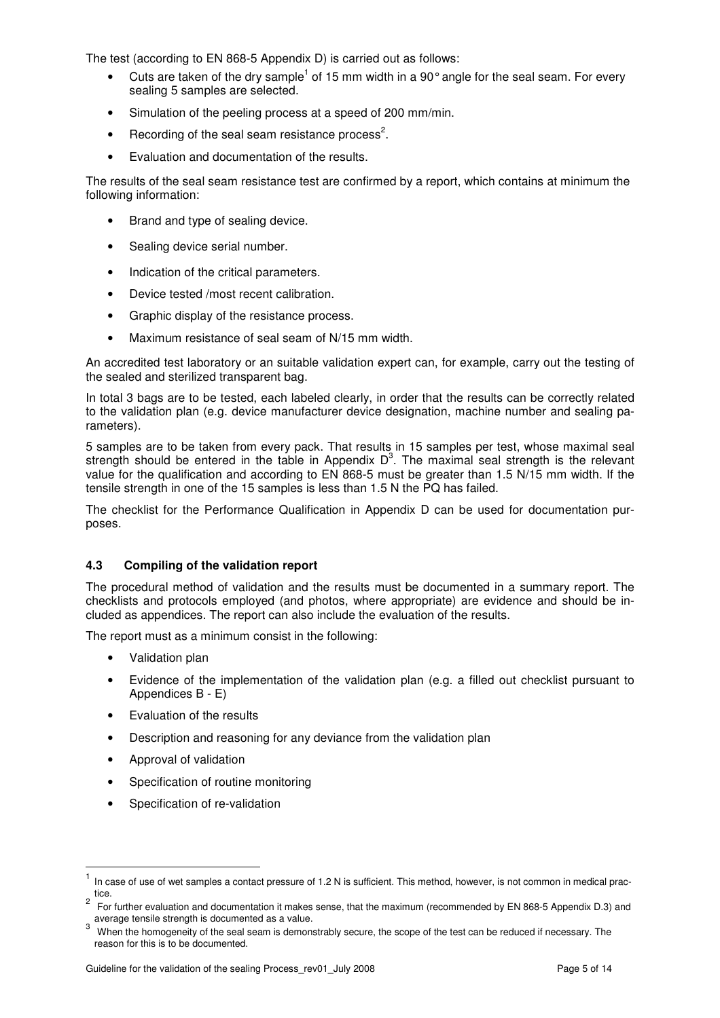The test (according to EN 868-5 Appendix D) is carried out as follows:

- Cuts are taken of the dry sample<sup>1</sup> of 15 mm width in a 90° angle for the seal seam. For every sealing 5 samples are selected.
- Simulation of the peeling process at a speed of 200 mm/min.
- Recording of the seal seam resistance process<sup>2</sup>.
- Evaluation and documentation of the results.

The results of the seal seam resistance test are confirmed by a report, which contains at minimum the following information:

- Brand and type of sealing device.
- Sealing device serial number.
- Indication of the critical parameters.
- Device tested /most recent calibration.
- Graphic display of the resistance process.
- Maximum resistance of seal seam of N/15 mm width.

An accredited test laboratory or an suitable validation expert can, for example, carry out the testing of the sealed and sterilized transparent bag.

In total 3 bags are to be tested, each labeled clearly, in order that the results can be correctly related to the validation plan (e.g. device manufacturer device designation, machine number and sealing parameters).

5 samples are to be taken from every pack. That results in 15 samples per test, whose maximal seal strength should be entered in the table in Appendix  $D<sup>3</sup>$ . The maximal seal strength is the relevant value for the qualification and according to EN 868-5 must be greater than 1.5 N/15 mm width. If the tensile strength in one of the 15 samples is less than 1.5 N the PQ has failed.

The checklist for the Performance Qualification in Appendix D can be used for documentation purposes.

#### **4.3 Compiling of the validation report**

The procedural method of validation and the results must be documented in a summary report. The checklists and protocols employed (and photos, where appropriate) are evidence and should be included as appendices. The report can also include the evaluation of the results.

The report must as a minimum consist in the following:

- Validation plan
- Evidence of the implementation of the validation plan (e.g. a filled out checklist pursuant to Appendices B - E)
- Evaluation of the results
- Description and reasoning for any deviance from the validation plan
- Approval of validation

 $\overline{a}$ 

- Specification of routine monitoring
- Specification of re-validation

<sup>1</sup> In case of use of wet samples a contact pressure of 1.2 N is sufficient. This method, however, is not common in medical practice.

<sup>2</sup> For further evaluation and documentation it makes sense, that the maximum (recommended by EN 868-5 Appendix D.3) and average tensile strength is documented as a value.

<sup>3</sup> When the homogeneity of the seal seam is demonstrably secure, the scope of the test can be reduced if necessary. The reason for this is to be documented.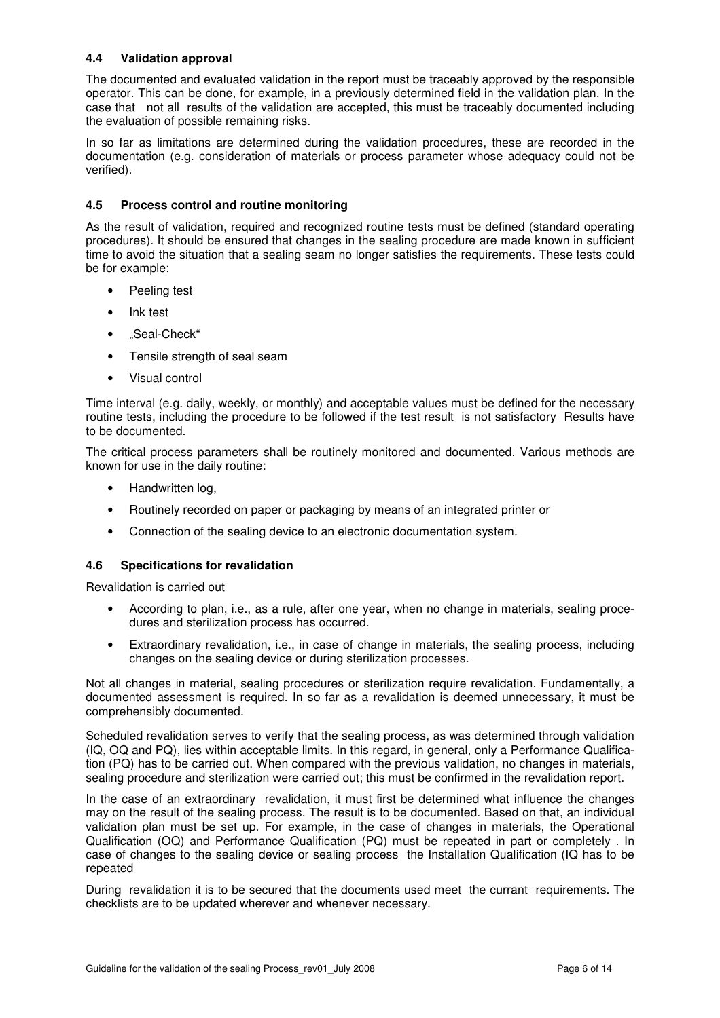#### **4.4 Validation approval**

The documented and evaluated validation in the report must be traceably approved by the responsible operator. This can be done, for example, in a previously determined field in the validation plan. In the case that not all results of the validation are accepted, this must be traceably documented including the evaluation of possible remaining risks.

In so far as limitations are determined during the validation procedures, these are recorded in the documentation (e.g. consideration of materials or process parameter whose adequacy could not be verified).

#### **4.5 Process control and routine monitoring**

As the result of validation, required and recognized routine tests must be defined (standard operating procedures). It should be ensured that changes in the sealing procedure are made known in sufficient time to avoid the situation that a sealing seam no longer satisfies the requirements. These tests could be for example:

- Peeling test
- Ink test
- "Seal-Check"
- Tensile strength of seal seam
- Visual control

Time interval (e.g. daily, weekly, or monthly) and acceptable values must be defined for the necessary routine tests, including the procedure to be followed if the test result is not satisfactory Results have to be documented.

The critical process parameters shall be routinely monitored and documented. Various methods are known for use in the daily routine:

- Handwritten log,
- Routinely recorded on paper or packaging by means of an integrated printer or
- Connection of the sealing device to an electronic documentation system.

#### **4.6 Specifications for revalidation**

Revalidation is carried out

- According to plan, i.e., as a rule, after one year, when no change in materials, sealing procedures and sterilization process has occurred.
- Extraordinary revalidation, i.e., in case of change in materials, the sealing process, including changes on the sealing device or during sterilization processes.

Not all changes in material, sealing procedures or sterilization require revalidation. Fundamentally, a documented assessment is required. In so far as a revalidation is deemed unnecessary, it must be comprehensibly documented.

Scheduled revalidation serves to verify that the sealing process, as was determined through validation (IQ, OQ and PQ), lies within acceptable limits. In this regard, in general, only a Performance Qualification (PQ) has to be carried out. When compared with the previous validation, no changes in materials, sealing procedure and sterilization were carried out; this must be confirmed in the revalidation report.

In the case of an extraordinary revalidation, it must first be determined what influence the changes may on the result of the sealing process. The result is to be documented. Based on that, an individual validation plan must be set up. For example, in the case of changes in materials, the Operational Qualification (OQ) and Performance Qualification (PQ) must be repeated in part or completely . In case of changes to the sealing device or sealing process the Installation Qualification (IQ has to be repeated

During revalidation it is to be secured that the documents used meet the currant requirements. The checklists are to be updated wherever and whenever necessary.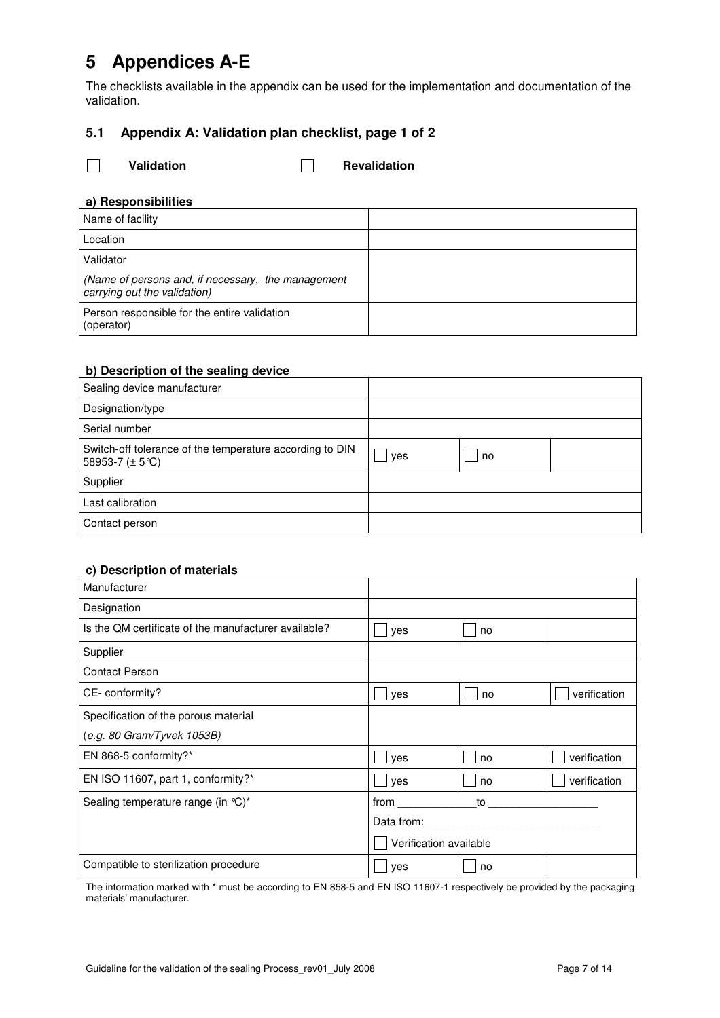# **5 Appendices A-E**

The checklists available in the appendix can be used for the implementation and documentation of the validation.

# **5.1 Appendix A: Validation plan checklist, page 1 of 2**

□ Validation **Revalidation** 

### **a) Responsibilities**

| Name of facility                                                                   |  |
|------------------------------------------------------------------------------------|--|
| Location                                                                           |  |
| Validator                                                                          |  |
| (Name of persons and, if necessary, the management<br>carrying out the validation) |  |
| Person responsible for the entire validation<br>(operator)                         |  |

### **b) Description of the sealing device**

| Sealing device manufacturer                                                            |     |    |  |
|----------------------------------------------------------------------------------------|-----|----|--|
| Designation/type                                                                       |     |    |  |
| Serial number                                                                          |     |    |  |
| Switch-off tolerance of the temperature according to DIN<br>58953-7 $(\pm 5^{\circ}C)$ | yes | no |  |
| Supplier                                                                               |     |    |  |
| Last calibration                                                                       |     |    |  |
| Contact person                                                                         |     |    |  |

### **c) Description of materials**

| Manufacturer                                         |                        |    |              |
|------------------------------------------------------|------------------------|----|--------------|
| Designation                                          |                        |    |              |
| Is the QM certificate of the manufacturer available? | yes                    | no |              |
| Supplier                                             |                        |    |              |
| <b>Contact Person</b>                                |                        |    |              |
| CE-conformity?                                       | yes                    | no | verification |
| Specification of the porous material                 |                        |    |              |
| (e.g. 80 Gram/Tyvek 1053B)                           |                        |    |              |
| EN 868-5 conformity?*                                | yes                    | no | verification |
| EN ISO 11607, part 1, conformity?*                   | yes                    | no | verification |
| Sealing temperature range (in °C)*                   | from                   | to |              |
|                                                      | Data from:             |    |              |
|                                                      | Verification available |    |              |
| Compatible to sterilization procedure                | yes                    | no |              |

The information marked with \* must be according to EN 858-5 and EN ISO 11607-1 respectively be provided by the packaging materials' manufacturer.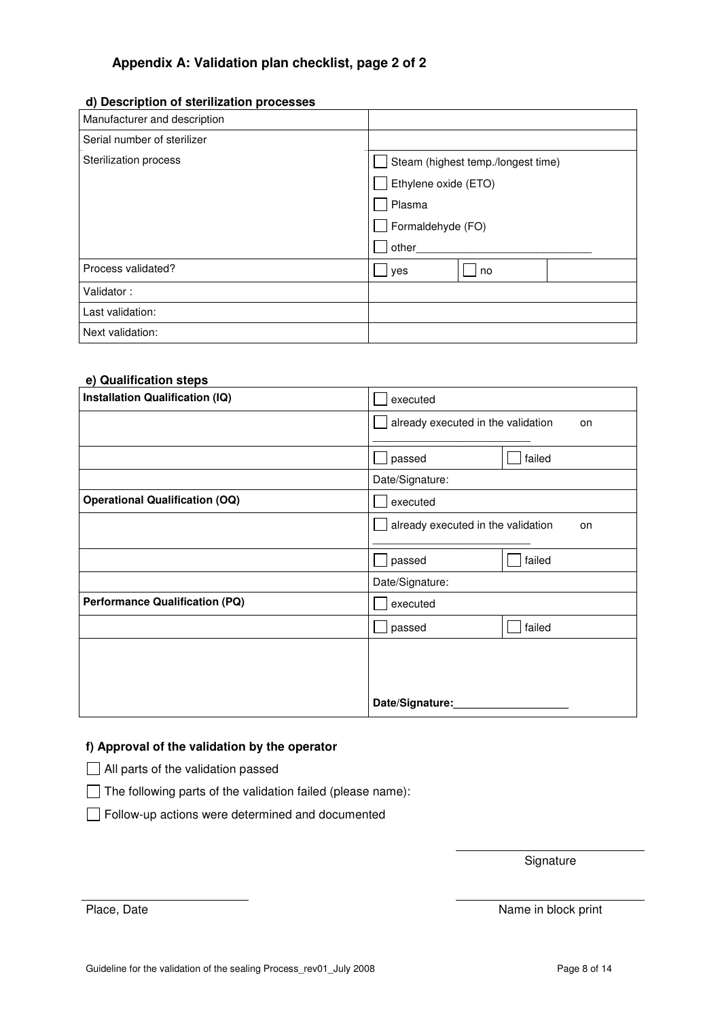# **Appendix A: Validation plan checklist, page 2 of 2**

### **d) Description of sterilization processes**

| Manufacturer and description |                                    |
|------------------------------|------------------------------------|
| Serial number of sterilizer  |                                    |
| Sterilization process        | Steam (highest temp./longest time) |
|                              | Ethylene oxide (ETO)               |
|                              | Plasma                             |
|                              | Formaldehyde (FO)                  |
|                              | other                              |
| Process validated?           | yes<br>no                          |
| Validator:                   |                                    |
| Last validation:             |                                    |
| Next validation:             |                                    |

#### **e) Qualification steps**

| Installation Qualification (IQ)       | executed                                 |        |
|---------------------------------------|------------------------------------------|--------|
|                                       | already executed in the validation<br>on |        |
|                                       |                                          |        |
|                                       | passed                                   | failed |
|                                       | Date/Signature:                          |        |
| <b>Operational Qualification (OQ)</b> | executed                                 |        |
|                                       | already executed in the validation       | on     |
|                                       |                                          |        |
|                                       | passed                                   | failed |
|                                       | Date/Signature:                          |        |
| <b>Performance Qualification (PQ)</b> | executed                                 |        |
|                                       | passed                                   | failed |
|                                       |                                          |        |
|                                       |                                          |        |
|                                       |                                          |        |
|                                       | Date/Signature:                          |        |

## **f) Approval of the validation by the operator**

All parts of the validation passed

 $\Box$  The following parts of the validation failed (please name):

Follow-up actions were determined and documented

**Signature** 

Place, Date Name in block print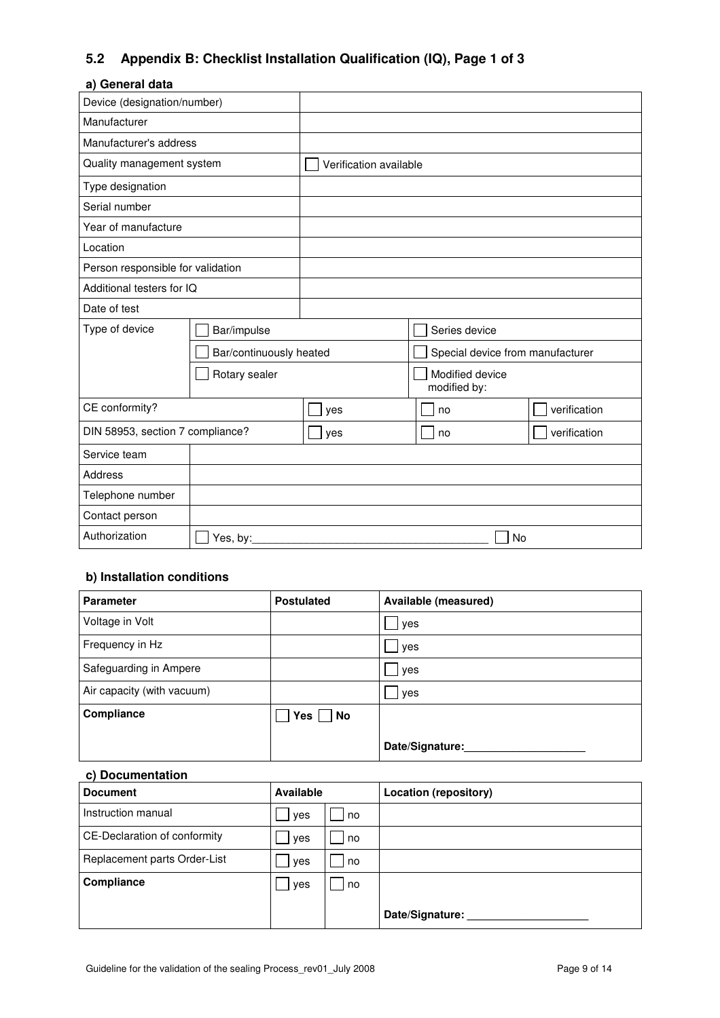# **5.2 Appendix B: Checklist Installation Qualification (IQ), Page 1 of 3**

#### **a) General data**

| Device (designation/number)       |                         |                        |                                  |              |  |
|-----------------------------------|-------------------------|------------------------|----------------------------------|--------------|--|
| Manufacturer                      |                         |                        |                                  |              |  |
| Manufacturer's address            |                         |                        |                                  |              |  |
| Quality management system         |                         | Verification available |                                  |              |  |
| Type designation                  |                         |                        |                                  |              |  |
| Serial number                     |                         |                        |                                  |              |  |
| Year of manufacture               |                         |                        |                                  |              |  |
| Location                          |                         |                        |                                  |              |  |
| Person responsible for validation |                         |                        |                                  |              |  |
| Additional testers for IQ         |                         |                        |                                  |              |  |
| Date of test                      |                         |                        |                                  |              |  |
| Type of device                    | Bar/impulse             |                        | Series device                    |              |  |
|                                   | Bar/continuously heated |                        | Special device from manufacturer |              |  |
| Rotary sealer                     |                         |                        | Modified device<br>modified by:  |              |  |
| CE conformity?                    |                         | yes                    | no                               | verification |  |
| DIN 58953, section 7 compliance?  |                         | yes                    | no                               | verification |  |
| Service team                      |                         |                        |                                  |              |  |
| <b>Address</b>                    |                         |                        |                                  |              |  |
| Telephone number                  |                         |                        |                                  |              |  |
| Contact person                    |                         |                        |                                  |              |  |
| Authorization                     | Yes, by:                |                        | No                               |              |  |

# **b) Installation conditions**

| <b>Parameter</b>           | <b>Postulated</b> | Available (measured) |
|----------------------------|-------------------|----------------------|
| Voltage in Volt            |                   | yes                  |
| Frequency in Hz            |                   | yes                  |
| Safeguarding in Ampere     |                   | yes                  |
| Air capacity (with vacuum) |                   | yes                  |
| Compliance                 | $Yes \mid No$     |                      |
|                            |                   | Date/Signature:      |

### **c) Documentation**

| <b>Document</b>              | <b>Available</b> |    | <b>Location (repository)</b> |
|------------------------------|------------------|----|------------------------------|
| Instruction manual           | yes              | no |                              |
| CE-Declaration of conformity | yes              | no |                              |
| Replacement parts Order-List | yes              | no |                              |
| Compliance                   | yes              | no |                              |
|                              |                  |    | Date/Signature:              |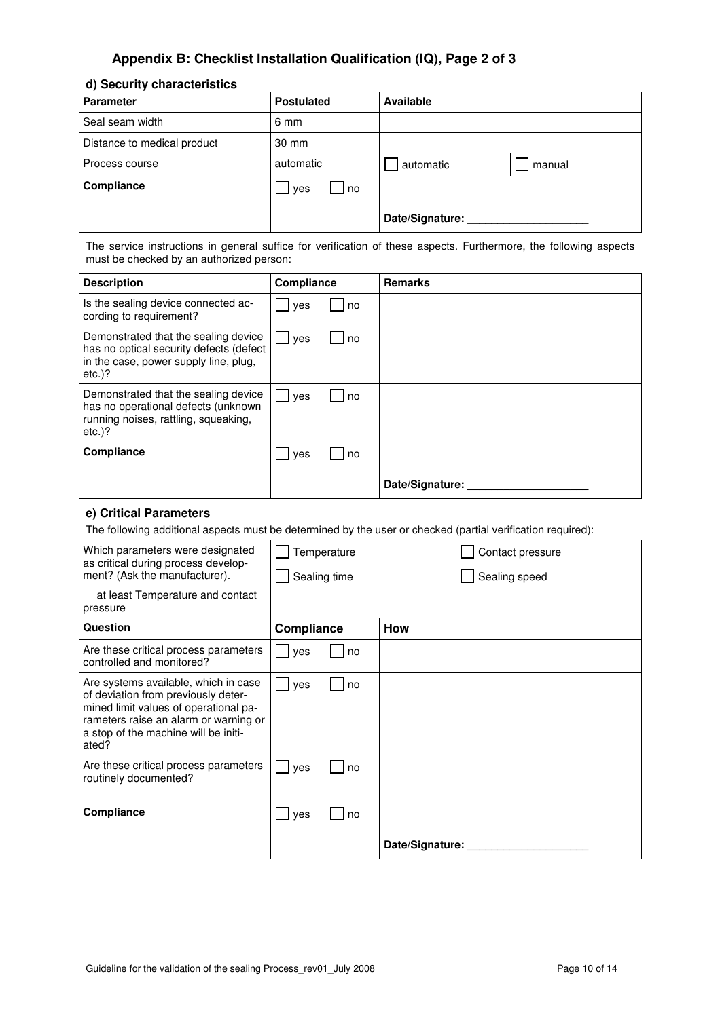# **Appendix B: Checklist Installation Qualification (IQ), Page 2 of 3**

#### **d) Security characteristics**

| <b>Parameter</b>            | <b>Postulated</b> |    | Available       |        |
|-----------------------------|-------------------|----|-----------------|--------|
| Seal seam width             | 6 mm              |    |                 |        |
| Distance to medical product | 30 mm             |    |                 |        |
| Process course              | automatic         |    | automatic       | manual |
| Compliance                  | yes               | no |                 |        |
|                             |                   |    | Date/Signature: |        |

The service instructions in general suffice for verification of these aspects. Furthermore, the following aspects must be checked by an authorized person:

| <b>Description</b>                                                                                                                    | Compliance |    | <b>Remarks</b>  |
|---------------------------------------------------------------------------------------------------------------------------------------|------------|----|-----------------|
| Is the sealing device connected ac-<br>cording to requirement?                                                                        | yes        | no |                 |
| Demonstrated that the sealing device<br>has no optical security defects (defect<br>in the case, power supply line, plug,<br>$etc.$ )? | yes        | no |                 |
| Demonstrated that the sealing device<br>has no operational defects (unknown<br>running noises, rattling, squeaking,<br>$etc.$ ?       | yes        | no |                 |
| Compliance                                                                                                                            | yes        | no |                 |
|                                                                                                                                       |            |    | Date/Signature: |

#### **e) Critical Parameters**

The following additional aspects must be determined by the user or checked (partial verification required):

| Which parameters were designated<br>as critical during process develop-                                                                                                                                        | Temperature              |    |                 | Contact pressure |  |  |
|----------------------------------------------------------------------------------------------------------------------------------------------------------------------------------------------------------------|--------------------------|----|-----------------|------------------|--|--|
| ment? (Ask the manufacturer).                                                                                                                                                                                  | Sealing time             |    |                 | Sealing speed    |  |  |
| at least Temperature and contact<br>pressure                                                                                                                                                                   |                          |    |                 |                  |  |  |
| Question                                                                                                                                                                                                       | Compliance<br><b>How</b> |    |                 |                  |  |  |
| Are these critical process parameters<br>controlled and monitored?                                                                                                                                             | yes                      | no |                 |                  |  |  |
| Are systems available, which in case<br>of deviation from previously deter-<br>mined limit values of operational pa-<br>rameters raise an alarm or warning or<br>a stop of the machine will be initi-<br>ated? | yes                      | no |                 |                  |  |  |
| Are these critical process parameters<br>routinely documented?                                                                                                                                                 | yes                      | no |                 |                  |  |  |
| Compliance                                                                                                                                                                                                     | yes<br>no                |    |                 |                  |  |  |
|                                                                                                                                                                                                                |                          |    | Date/Signature: |                  |  |  |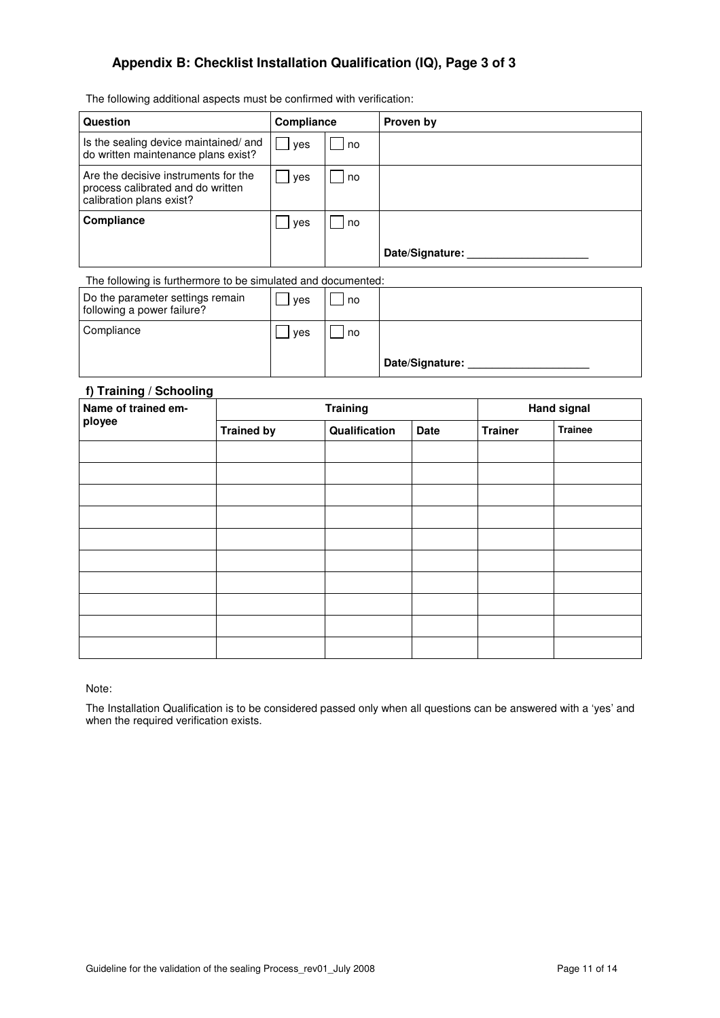# **Appendix B: Checklist Installation Qualification (IQ), Page 3 of 3**

The following additional aspects must be confirmed with verification:

| Question                                                                                              | Compliance |    | Proven by       |
|-------------------------------------------------------------------------------------------------------|------------|----|-----------------|
| Is the sealing device maintained/ and<br>do written maintenance plans exist?                          | l yes      | no |                 |
| Are the decisive instruments for the<br>process calibrated and do written<br>calibration plans exist? | yes        | no |                 |
| Compliance                                                                                            | yes        | no |                 |
|                                                                                                       |            |    | Date/Signature: |

The following is furthermore to be simulated and documented:

| Do the parameter settings remain<br>following a power failure? | ves | no |                 |
|----------------------------------------------------------------|-----|----|-----------------|
| Compliance                                                     | ves | no |                 |
|                                                                |     |    | Date/Signature: |

## **f) Training / Schooling**

| $\cdot$<br>J<br>$\tilde{\phantom{a}}$<br>Name of trained em- |                   | <b>Training</b> | <b>Hand signal</b> |                |                |
|--------------------------------------------------------------|-------------------|-----------------|--------------------|----------------|----------------|
| ployee                                                       | <b>Trained by</b> | Qualification   | Date               | <b>Trainer</b> | <b>Trainee</b> |
|                                                              |                   |                 |                    |                |                |
|                                                              |                   |                 |                    |                |                |
|                                                              |                   |                 |                    |                |                |
|                                                              |                   |                 |                    |                |                |
|                                                              |                   |                 |                    |                |                |
|                                                              |                   |                 |                    |                |                |
|                                                              |                   |                 |                    |                |                |
|                                                              |                   |                 |                    |                |                |
|                                                              |                   |                 |                    |                |                |
|                                                              |                   |                 |                    |                |                |

Note:

The Installation Qualification is to be considered passed only when all questions can be answered with a 'yes' and when the required verification exists.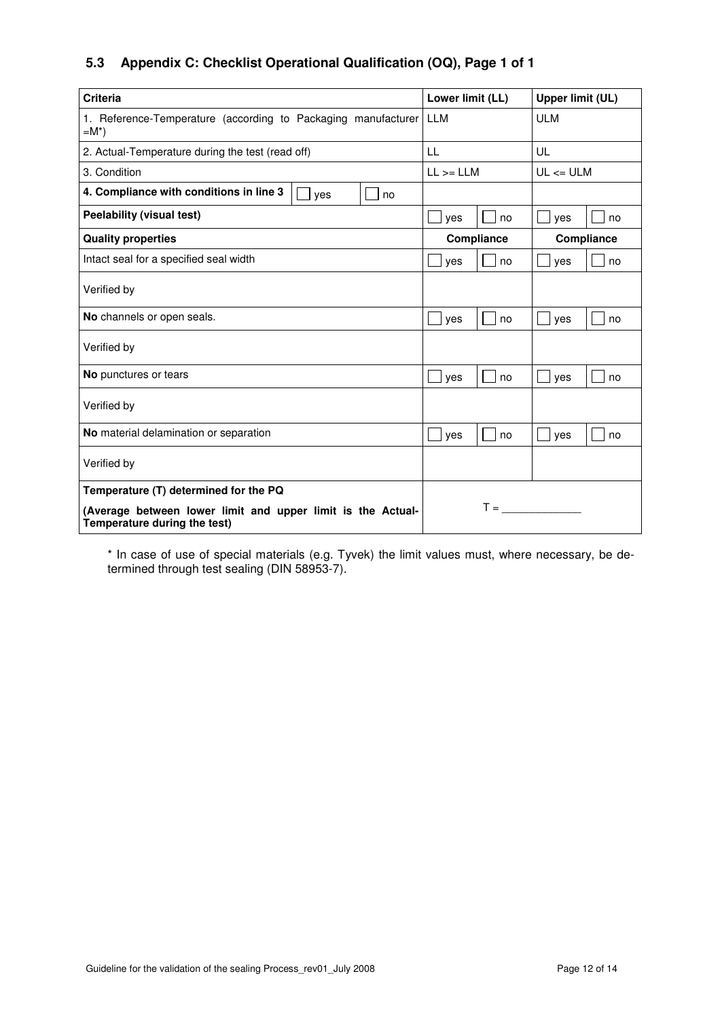# **5.3 Appendix C: Checklist Operational Qualification (OQ), Page 1 of 1**

| <b>Criteria</b>                                                                             | Lower limit (LL)                 | <b>Upper limit (UL)</b> |  |
|---------------------------------------------------------------------------------------------|----------------------------------|-------------------------|--|
| 1. Reference-Temperature (according to Packaging manufacturer LLM<br>$=M^*$ )               |                                  | <b>ULM</b>              |  |
| 2. Actual-Temperature during the test (read off)                                            | LL                               | UL                      |  |
| 3. Condition                                                                                | $LL$ >= $LLM$                    | $UL \leq ULM$           |  |
| 4. Compliance with conditions in line 3<br>ves<br>no                                        |                                  |                         |  |
| <b>Peelability (visual test)</b>                                                            | yes<br>no                        | yes<br>no               |  |
| <b>Quality properties</b>                                                                   | Compliance                       | Compliance              |  |
| Intact seal for a specified seal width                                                      | yes<br>no                        | yes<br>no               |  |
| Verified by                                                                                 |                                  |                         |  |
| No channels or open seals.                                                                  | no<br>yes                        | yes<br>no               |  |
| Verified by                                                                                 |                                  |                         |  |
| No punctures or tears                                                                       | no<br>yes                        | yes<br>no               |  |
| Verified by                                                                                 |                                  |                         |  |
| No material delamination or separation                                                      | yes<br>no                        | yes<br>no               |  |
| Verified by                                                                                 |                                  |                         |  |
| Temperature (T) determined for the PQ                                                       |                                  |                         |  |
| (Average between lower limit and upper limit is the Actual-<br>Temperature during the test) | $T = \underline{\qquad \qquad }$ |                         |  |

\* In case of use of special materials (e.g. Tyvek) the limit values must, where necessary, be determined through test sealing (DIN 58953-7).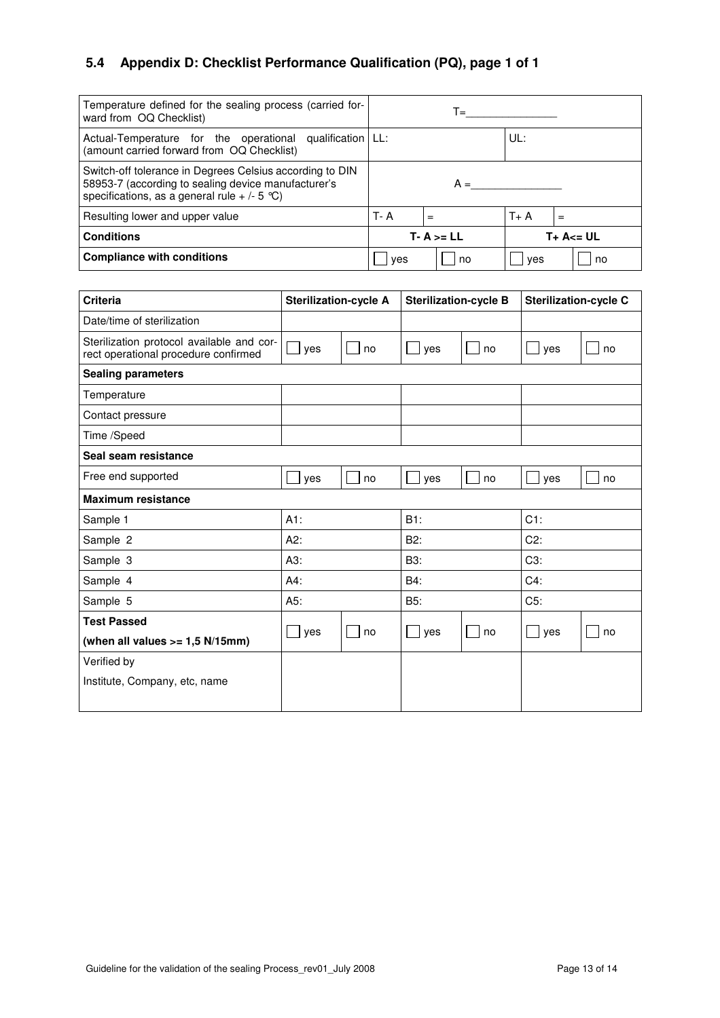# **5.4 Appendix D: Checklist Performance Qualification (PQ), page 1 of 1**

| Temperature defined for the sealing process (carried for-<br>ward from OQ Checklist)                                                                              |         | T=            |       |               |
|-------------------------------------------------------------------------------------------------------------------------------------------------------------------|---------|---------------|-------|---------------|
| Actual-Temperature for the operational qualification   LL:<br>(amount carried forward from OQ Checklist)                                                          | UL:     |               |       |               |
| Switch-off tolerance in Degrees Celsius according to DIN<br>58953-7 (according to sealing device manufacturer's<br>specifications, as a general rule $+$ /- 5 °C) | $A =$   |               |       |               |
| Resulting lower and upper value                                                                                                                                   | $T - A$ | $=$           | $T+A$ | $=$           |
| <b>Conditions</b>                                                                                                                                                 |         | $T - A >= LL$ |       | $T + A \le U$ |
| <b>Compliance with conditions</b>                                                                                                                                 | ves     | no            | ves   | no            |

| <b>Criteria</b>                                                                   | <b>Sterilization-cycle A</b> |    | <b>Sterilization-cycle B</b> |    | <b>Sterilization-cycle C</b> |    |
|-----------------------------------------------------------------------------------|------------------------------|----|------------------------------|----|------------------------------|----|
| Date/time of sterilization                                                        |                              |    |                              |    |                              |    |
| Sterilization protocol available and cor-<br>rect operational procedure confirmed | yes                          | no | yes                          | no | yes                          | no |
| <b>Sealing parameters</b>                                                         |                              |    |                              |    |                              |    |
| Temperature                                                                       |                              |    |                              |    |                              |    |
| Contact pressure                                                                  |                              |    |                              |    |                              |    |
| Time /Speed                                                                       |                              |    |                              |    |                              |    |
| Seal seam resistance                                                              |                              |    |                              |    |                              |    |
| Free end supported                                                                | yes                          | no | yes                          | no | yes                          | no |
| <b>Maximum resistance</b>                                                         |                              |    |                              |    |                              |    |
| Sample 1                                                                          | $A1$ :                       |    | B1:                          |    | $C1$ :                       |    |
| Sample 2                                                                          | A2:                          |    | B2:                          |    | $C2$ :                       |    |
| Sample 3                                                                          | A3:                          |    | B3:                          |    | C3:                          |    |
| Sample 4                                                                          | $A4$ :                       |    | B4:                          |    | $C4$ :                       |    |
| Sample 5                                                                          | A5:                          |    | B5:                          |    | C5:                          |    |
| <b>Test Passed</b>                                                                | $\blacksquare$               | no |                              | no |                              | no |
| (when all values $>= 1,5$ N/15mm)                                                 | yes                          |    | $ $ yes                      |    | yes                          |    |
| Verified by                                                                       |                              |    |                              |    |                              |    |
| Institute, Company, etc, name                                                     |                              |    |                              |    |                              |    |
|                                                                                   |                              |    |                              |    |                              |    |